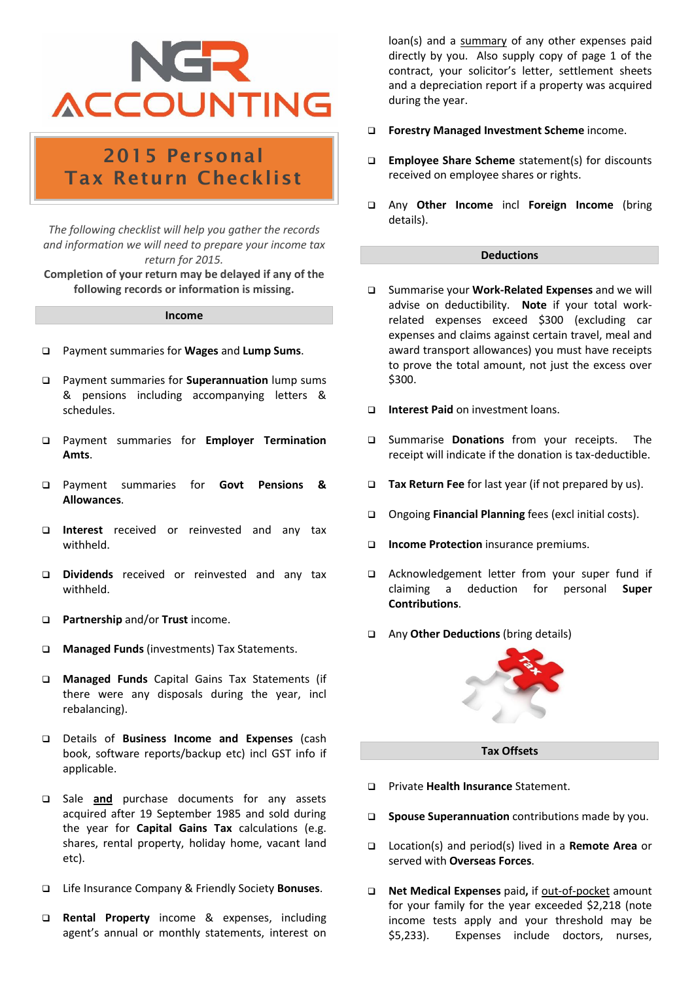## NGR **ACCOUNTING**

### 2015 Personal Tax Return Checklist

*The following checklist will help you gather the records and information we will need to prepare your income tax return for 2015.*

**Completion of your return may be delayed if any of the following records or information is missing.**

#### **Income**

- ❑ Payment summaries for **Wages** and **Lump Sums**.
- ❑ Payment summaries for **Superannuation** lump sums & pensions including accompanying letters & schedules.
- ❑ Payment summaries for **Employer Termination Amts**.
- ❑ Payment summaries for **Govt Pensions & Allowances**.
- ❑ **Interest** received or reinvested and any tax withheld.
- ❑ **Dividends** received or reinvested and any tax withheld.
- ❑ **Partnership** and/or **Trust** income.
- ❑ **Managed Funds** (investments) Tax Statements.
- ❑ **Managed Funds** Capital Gains Tax Statements (if there were any disposals during the year, incl rebalancing).
- ❑ Details of **Business Income and Expenses** (cash book, software reports/backup etc) incl GST info if applicable.
- ❑ Sale **and** purchase documents for any assets acquired after 19 September 1985 and sold during the year for **Capital Gains Tax** calculations (e.g. shares, rental property, holiday home, vacant land etc).
- ❑ Life Insurance Company & Friendly Society **Bonuses**.
- ❑ **Rental Property** income & expenses, including agent's annual or monthly statements, interest on

loan(s) and a summary of any other expenses paid directly by you. Also supply copy of page 1 of the contract, your solicitor's letter, settlement sheets and a depreciation report if a property was acquired during the year.

- ❑ **Forestry Managed Investment Scheme** income.
- ❑ **Employee Share Scheme** statement(s) for discounts received on employee shares or rights.
- ❑ Any **Other Income** incl **Foreign Income** (bring details).

#### **Deductions**

- ❑ Summarise your **Work-Related Expenses** and we will advise on deductibility. **Note** if your total workrelated expenses exceed \$300 (excluding car expenses and claims against certain travel, meal and award transport allowances) you must have receipts to prove the total amount, not just the excess over \$300.
- ❑ **Interest Paid** on investment loans.
- ❑ Summarise **Donations** from your receipts.The receipt will indicate if the donation is tax-deductible.
- ❑ **Tax Return Fee** for last year (if not prepared by us).
- ❑ Ongoing **Financial Planning** fees (excl initial costs).
- ❑ **Income Protection** insurance premiums.
- ❑ Acknowledgement letter from your super fund if claiming a deduction for personal **Super Contributions**.
- ❑ Any **Other Deductions** (bring details)



#### **Tax Offsets**

- ❑ Private **Health Insurance** Statement.
- ❑ **Spouse Superannuation** contributions made by you.
- ❑ Location(s) and period(s) lived in a **Remote Area** or served with **Overseas Forces**.
- ❑ **Net Medical Expenses** paid**,** if out-of-pocket amount for your family for the year exceeded \$2,218 (note income tests apply and your threshold may be \$5,233). Expenses include doctors, nurses,